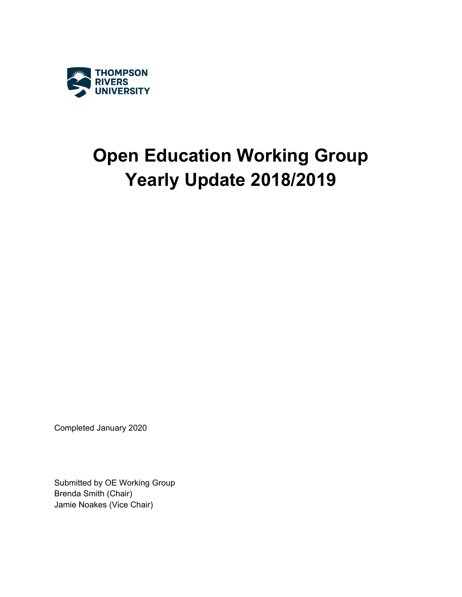

# **Open Education Working Group Yearly Update 2018/2019**

Completed January 2020

Submitted by OE Working Group Brenda Smith (Chair) Jamie Noakes (Vice Chair)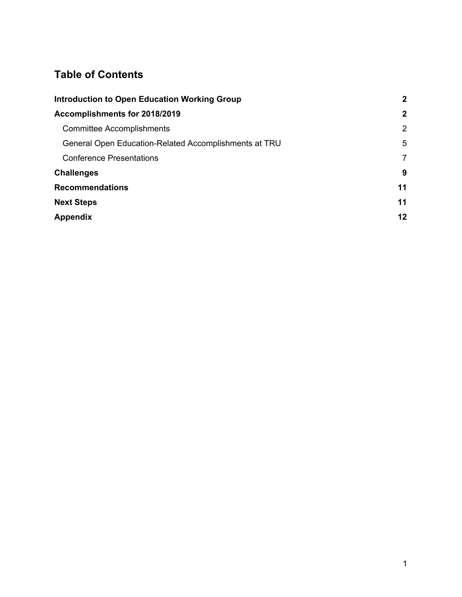### **Table of Contents**

| <b>Introduction to Open Education Working Group</b>   | $\mathbf{2}$ |  |
|-------------------------------------------------------|--------------|--|
| Accomplishments for 2018/2019                         | $\mathbf{2}$ |  |
| <b>Committee Accomplishments</b>                      | 2            |  |
| General Open Education-Related Accomplishments at TRU | 5            |  |
| <b>Conference Presentations</b>                       | 7            |  |
| <b>Challenges</b>                                     | 9            |  |
| <b>Recommendations</b>                                | 11           |  |
| <b>Next Steps</b>                                     | 11           |  |
| <b>Appendix</b>                                       | 12           |  |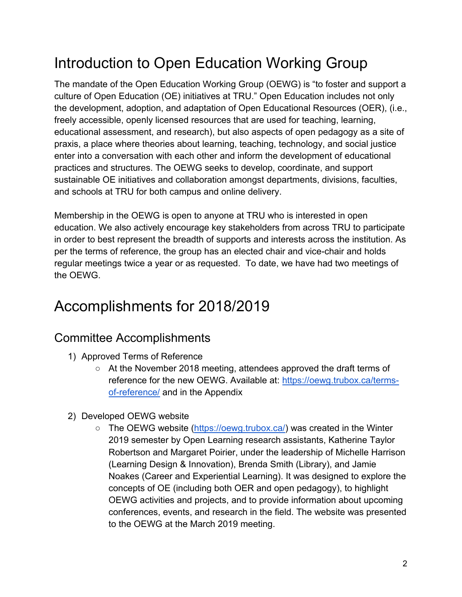## <span id="page-2-0"></span>Introduction to Open Education Working Group

The mandate of the Open Education Working Group (OEWG) is "to foster and support a culture of Open Education (OE) initiatives at TRU." Open Education includes not only the development, adoption, and adaptation of Open Educational Resources (OER), (i.e., freely accessible, openly licensed resources that are used for teaching, learning, educational assessment, and research), but also aspects of open pedagogy as a site of praxis, a place where theories about learning, teaching, technology, and social justice enter into a conversation with each other and inform the development of educational practices and structures. The OEWG seeks to develop, coordinate, and support sustainable OE initiatives and collaboration amongst departments, divisions, faculties, and schools at TRU for both campus and online delivery.

Membership in the OEWG is open to anyone at TRU who is interested in open education. We also actively encourage key stakeholders from across TRU to participate in order to best represent the breadth of supports and interests across the institution. As per the terms of reference, the group has an elected chair and vice-chair and holds regular meetings twice a year or as requested. To date, we have had two meetings of the OEWG.

## <span id="page-2-1"></span>Accomplishments for 2018/2019

### <span id="page-2-2"></span>Committee Accomplishments

- 1) Approved Terms of Reference
	- At the November 2018 meeting, attendees approved the draft terms of reference for the new OEWG. Available at: [https://oewg.trubox.ca/terms](https://oewg.trubox.ca/terms-of-reference/)[of-reference/](https://oewg.trubox.ca/terms-of-reference/) and in the Appendix
- 2) Developed OEWG website
	- The OEWG website [\(https://oewg.trubox.ca/\)](https://oewg.trubox.ca/) was created in the Winter 2019 semester by Open Learning research assistants, Katherine Taylor Robertson and Margaret Poirier, under the leadership of Michelle Harrison (Learning Design & Innovation), Brenda Smith (Library), and Jamie Noakes (Career and Experiential Learning). It was designed to explore the concepts of OE (including both OER and open pedagogy), to highlight OEWG activities and projects, and to provide information about upcoming conferences, events, and research in the field. The website was presented to the OEWG at the March 2019 meeting.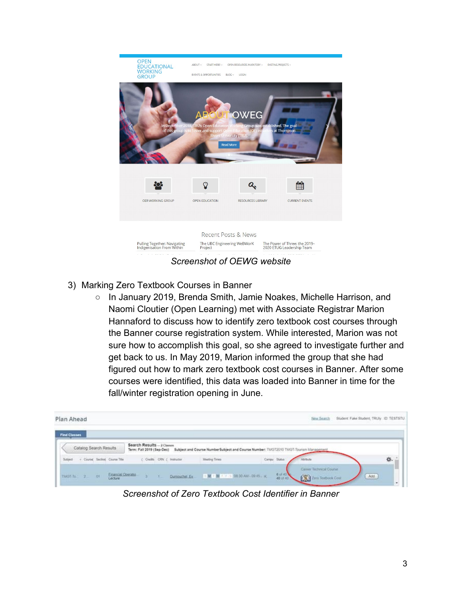

*Screenshot of OEWG website*

- 3) Marking Zero Textbook Courses in Banner
	- In January 2019, Brenda Smith, Jamie Noakes, Michelle Harrison, and Naomi Cloutier (Open Learning) met with Associate Registrar Marion Hannaford to discuss how to identify zero textbook cost courses through the Banner course registration system. While interested, Marion was not sure how to accomplish this goal, so she agreed to investigate further and get back to us. In May 2019, Marion informed the group that she had figured out how to mark zero textbook cost courses in Banner. After some courses were identified, this data was loaded into Banner in time for the fall/winter registration opening in June.

| Plan Ahead          |                        |           |                                                         |  |  |                                                                                      |                                     |               | New Search                                               | Student Fake Student, TRUly ID TESTSTU |
|---------------------|------------------------|-----------|---------------------------------------------------------|--|--|--------------------------------------------------------------------------------------|-------------------------------------|---------------|----------------------------------------------------------|----------------------------------------|
| <b>Find Classes</b> |                        |           |                                                         |  |  |                                                                                      |                                     |               |                                                          |                                        |
|                     | Catalog Search Results |           | Search Results - 2 Classes<br>Term: Fall 2019 (Sep-Dec) |  |  | Subject and Course NumberSubject and Course Number: TMGT2010 TMGT-Tourism Management |                                     |               |                                                          |                                        |
|                     |                        |           | Subject - + Coursel Section Course Title                |  |  | ( Oredta CRN ( Instructor                                                            | Meeting Times                       | Campu, Status | Atcliude                                                 | 森.                                     |
|                     | TMOT-To: 2             | <b>Of</b> | Enancial Operatio<br>Lecture                            |  |  | Dumpuchel Ev                                                                         | T MET M 7 17 5 00 30 AM - 00 45 - K | 6 of 40       | Caner Technical Counsel<br><b>Com</b> Zern Textbook Cost | Add                                    |

*Screenshot of Zero Textbook Cost Identifier in Banner*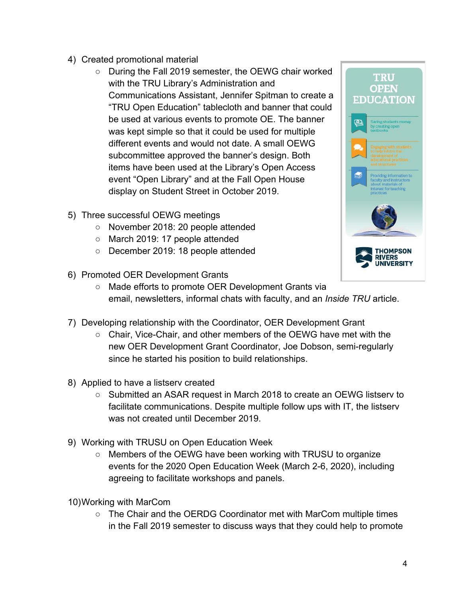- 4) Created promotional material
	- During the Fall 2019 semester, the OEWG chair worked with the TRU Library's Administration and Communications Assistant, Jennifer Spitman to create a "TRU Open Education" tablecloth and banner that could be used at various events to promote OE. The banner was kept simple so that it could be used for multiple different events and would not date. A small OEWG subcommittee approved the banner's design. Both items have been used at the Library's Open Access event "Open Library" and at the Fall Open House display on Student Street in October 2019.
- 5) Three successful OEWG meetings
	- November 2018: 20 people attended
	- March 2019: 17 people attended
	- December 2019: 18 people attended
- 6) Promoted OER Development Grants



- Made efforts to promote OER Development Grants via email, newsletters, informal chats with faculty, and an *Inside TRU* article.
- 7) Developing relationship with the Coordinator, OER Development Grant
	- Chair, Vice-Chair, and other members of the OEWG have met with the new OER Development Grant Coordinator, Joe Dobson, semi-regularly since he started his position to build relationships.
- 8) Applied to have a listserv created
	- Submitted an ASAR request in March 2018 to create an OEWG listserv to facilitate communications. Despite multiple follow ups with IT, the listserv was not created until December 2019.
- 9) Working with TRUSU on Open Education Week
	- Members of the OEWG have been working with TRUSU to organize events for the 2020 Open Education Week (March 2-6, 2020), including agreeing to facilitate workshops and panels.
- 10)Working with MarCom
	- The Chair and the OERDG Coordinator met with MarCom multiple times in the Fall 2019 semester to discuss ways that they could help to promote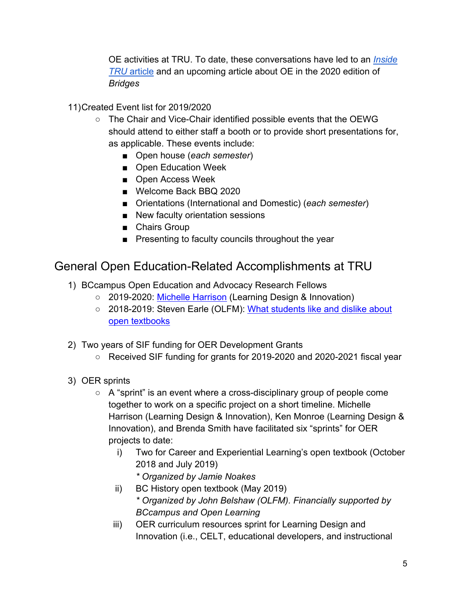OE activities at TRU. To date, these conversations have led to an *[Inside](https://inside.tru.ca/2019/10/02/tru-empowers-faculty-to-lower-costs-for-students/)  [TRU](https://inside.tru.ca/2019/10/02/tru-empowers-faculty-to-lower-costs-for-students/)* [article](https://inside.tru.ca/2019/10/02/tru-empowers-faculty-to-lower-costs-for-students/) and an upcoming article about OE in the 2020 edition of *Bridges*

### 11)Created Event list for 2019/2020

- The Chair and Vice-Chair identified possible events that the OEWG should attend to either staff a booth or to provide short presentations for, as applicable. These events include:
	- Open house (*each semester*)
	- Open Education Week
	- Open Access Week
	- Welcome Back BBQ 2020
	- Orientations (International and Domestic) (*each semester*)
	- New faculty orientation sessions
	- Chairs Group
	- Presenting to faculty councils throughout the year

### <span id="page-5-0"></span>General Open Education-Related Accomplishments at TRU

- 1) BCcampus Open Education and Advocacy Research Fellows
	- 2019-2020: [Michelle Harrison](https://inside.tru.ca/2019/10/10/research-explores-impact-of-learning-in-the-open/) (Learning Design & Innovation)
	- 2018-2019: Steven Earle (OLFM): What students like and dislike about [open textbooks](https://opentextbc.ca/openedinfo/wp-content/uploads/sites/214/2019/05/earle-oer-final-report-2019.pdf)
- 2) Two years of SIF funding for OER Development Grants
	- Received SIF funding for grants for 2019-2020 and 2020-2021 fiscal year
- 3) OER sprints
	- A "sprint" is an event where a cross-disciplinary group of people come together to work on a specific project on a short timeline. Michelle Harrison (Learning Design & Innovation), Ken Monroe (Learning Design & Innovation), and Brenda Smith have facilitated six "sprints" for OER projects to date:
		- i) Two for Career and Experiential Learning's open textbook (October 2018 and July 2019)
			- *\* Organized by Jamie Noakes*
		- ii) BC History open textbook (May 2019)
			- *\* Organized by John Belshaw (OLFM). Financially supported by BCcampus and Open Learning*
		- iii) OER curriculum resources sprint for Learning Design and Innovation (i.e., CELT, educational developers, and instructional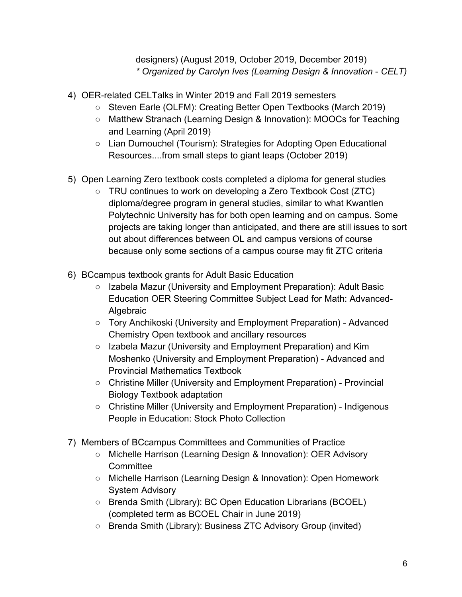designers) (August 2019, October 2019, December 2019) *\* Organized by Carolyn Ives (Learning Design & Innovation* - *CELT)*

- 4) OER-related CELTalks in Winter 2019 and Fall 2019 semesters
	- Steven Earle (OLFM): Creating Better Open Textbooks (March 2019)
	- Matthew Stranach (Learning Design & Innovation): MOOCs for Teaching and Learning (April 2019)
	- Lian Dumouchel (Tourism): Strategies for Adopting Open Educational Resources....from small steps to giant leaps (October 2019)
- 5) Open Learning Zero textbook costs completed a diploma for general studies
	- TRU continues to work on developing a Zero Textbook Cost (ZTC) diploma/degree program in general studies, similar to what Kwantlen Polytechnic University has for both open learning and on campus. Some projects are taking longer than anticipated, and there are still issues to sort out about differences between OL and campus versions of course because only some sections of a campus course may fit ZTC criteria
- 6) BCcampus textbook grants for Adult Basic Education
	- Izabela Mazur (University and Employment Preparation): Adult Basic Education OER Steering Committee Subject Lead for Math: Advanced-Algebraic
	- Tory Anchikoski (University and Employment Preparation) Advanced Chemistry Open textbook and ancillary resources
	- Izabela Mazur (University and Employment Preparation) and Kim Moshenko (University and Employment Preparation) - Advanced and Provincial Mathematics Textbook
	- Christine Miller (University and Employment Preparation) Provincial Biology Textbook adaptation
	- Christine Miller (University and Employment Preparation) Indigenous People in Education: Stock Photo Collection
- 7) Members of BCcampus Committees and Communities of Practice
	- Michelle Harrison (Learning Design & Innovation): OER Advisory **Committee**
	- Michelle Harrison (Learning Design & Innovation): Open Homework System Advisory
	- Brenda Smith (Library): BC Open Education Librarians (BCOEL) (completed term as BCOEL Chair in June 2019)
	- Brenda Smith (Library): Business ZTC Advisory Group (invited)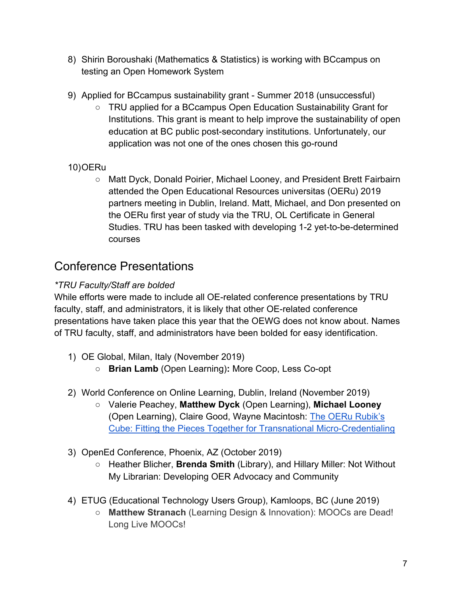- 8) Shirin Boroushaki (Mathematics & Statistics) is working with BCcampus on testing an Open Homework System
- 9) Applied for BCcampus sustainability grant Summer 2018 (unsuccessful)
	- TRU applied for a BCcampus Open Education Sustainability Grant for Institutions. This grant is meant to help improve the sustainability of open education at BC public post-secondary institutions. Unfortunately, our application was not one of the ones chosen this go-round

### 10)OERu

○ Matt Dyck, Donald Poirier, Michael Looney, and President Brett Fairbairn attended the Open Educational Resources universitas (OERu) 2019 partners meeting in Dublin, Ireland. Matt, Michael, and Don presented on the OERu first year of study via the TRU, OL Certificate in General Studies. TRU has been tasked with developing 1-2 yet-to-be-determined courses

### <span id="page-7-0"></span>Conference Presentations

### *\*TRU Faculty/Staff are bolded*

While efforts were made to include all OE-related conference presentations by TRU faculty, staff, and administrators, it is likely that other OE-related conference presentations have taken place this year that the OEWG does not know about. Names of TRU faculty, staff, and administrators have been bolded for easy identification.

- 1) OE Global, Milan, Italy (November 2019)
	- **Brian Lamb** (Open Learning)**:** More Coop, Less Co-opt
- 2) World Conference on Online Learning, Dublin, Ireland (November 2019)
	- Valerie Peachey, **Matthew Dyck** (Open Learning), **Michael Looney** (Open Learning), Claire Good, Wayne Macintosh: [The OERu Rubik's](https://wcol2019.ie/wp-content/uploads/presentations/FP_004,%20DYCK.pdf)  [Cube: Fitting the Pieces Together for Transnational Micro-Credentialing](https://wcol2019.ie/wp-content/uploads/presentations/FP_004,%20DYCK.pdf)
- 3) OpenEd Conference, Phoenix, AZ (October 2019)
	- Heather Blicher, **Brenda Smith** (Library), and Hillary Miller: Not Without My Librarian: Developing OER Advocacy and Community
- 4) ETUG (Educational Technology Users Group), Kamloops, BC (June 2019)
	- **Matthew Stranach** (Learning Design & Innovation): MOOCs are Dead! Long Live MOOCs!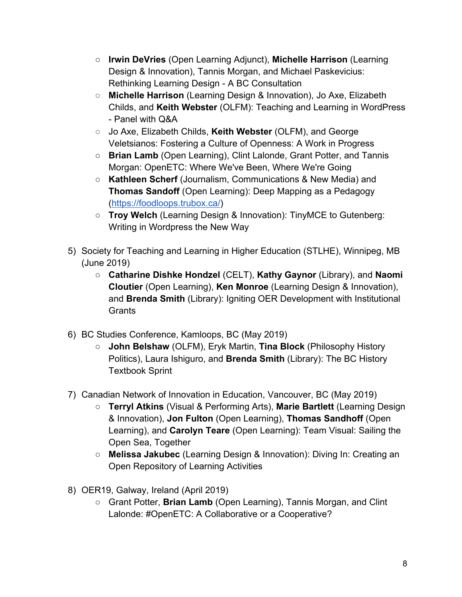- **Irwin DeVries** (Open Learning Adjunct), **Michelle Harrison** (Learning Design & Innovation), Tannis Morgan, and Michael Paskevicius: Rethinking Learning Design - A BC Consultation
- **Michelle Harrison** (Learning Design & Innovation), Jo Axe, Elizabeth Childs, and **Keith Webster** (OLFM): Teaching and Learning in WordPress - Panel with Q&A
- Jo Axe, Elizabeth Childs, **Keith Webster** (OLFM), and George Veletsianos: Fostering a Culture of Openness: A Work in Progress
- **Brian Lamb** (Open Learning), Clint Lalonde, Grant Potter, and Tannis Morgan: OpenETC: Where We've Been, Where We're Going
- **Kathleen Scherf** (Journalism, Communications & New Media) and **Thomas Sandoff** (Open Learning): Deep Mapping as a Pedagogy [\(https://foodloops.trubox.ca/\)](https://foodloops.trubox.ca/)
- **Troy Welch** (Learning Design & Innovation): TinyMCE to Gutenberg: Writing in Wordpress the New Way
- 5) Society for Teaching and Learning in Higher Education (STLHE), Winnipeg, MB (June 2019)
	- **Catharine Dishke Hondzel** (CELT), **Kathy Gaynor** (Library), and **Naomi Cloutier** (Open Learning), **Ken Monroe** (Learning Design & Innovation), and **Brenda Smith** (Library): Igniting OER Development with Institutional **Grants**
- 6) BC Studies Conference, Kamloops, BC (May 2019)
	- **John Belshaw** (OLFM), Eryk Martin, **Tina Block** (Philosophy History Politics), Laura Ishiguro, and **Brenda Smith** (Library): The BC History Textbook Sprint
- 7) Canadian Network of Innovation in Education, Vancouver, BC (May 2019)
	- **Terryl Atkins** (Visual & Performing Arts), **Marie Bartlett** (Learning Design & Innovation), **Jon Fulton** (Open Learning), **Thomas Sandhoff** (Open Learning), and **Carolyn Teare** (Open Learning): Team Visual: Sailing the Open Sea, Together
	- **Melissa Jakubec** (Learning Design & Innovation): Diving In: Creating an Open Repository of Learning Activities
- 8) OER19, Galway, Ireland (April 2019)
	- Grant Potter, **Brian Lamb** (Open Learning), Tannis Morgan, and Clint Lalonde: #OpenETC: A Collaborative or a Cooperative?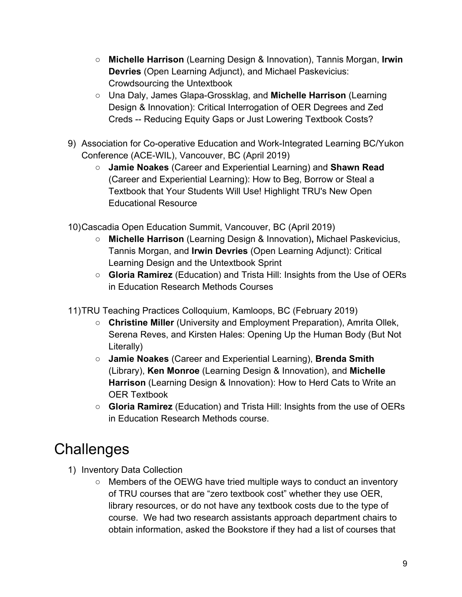- **Michelle Harrison** (Learning Design & Innovation), Tannis Morgan, **Irwin Devries** (Open Learning Adjunct), and Michael Paskevicius: Crowdsourcing the Untextbook
- Una Daly, James Glapa-Grossklag, and **Michelle Harrison** (Learning Design & Innovation): Critical Interrogation of OER Degrees and Zed Creds -- Reducing Equity Gaps or Just Lowering Textbook Costs?
- 9) Association for Co-operative Education and Work-Integrated Learning BC/Yukon Conference (ACE-WIL), Vancouver, BC (April 2019)
	- **Jamie Noakes** (Career and Experiential Learning) and **Shawn Read**  (Career and Experiential Learning): How to Beg, Borrow or Steal a Textbook that Your Students Will Use! Highlight TRU's New Open Educational Resource
- 10)Cascadia Open Education Summit, Vancouver, BC (April 2019)
	- **Michelle Harrison** (Learning Design & Innovation)**,** Michael Paskevicius, Tannis Morgan, and **Irwin Devries** (Open Learning Adjunct): Critical Learning Design and the Untextbook Sprint
	- **Gloria Ramirez** (Education) and Trista Hill: Insights from the Use of OERs in Education Research Methods Courses
- 11)TRU Teaching Practices Colloquium, Kamloops, BC (February 2019)
	- **Christine Miller** (University and Employment Preparation), Amrita Ollek, Serena Reves, and Kirsten Hales: Opening Up the Human Body (But Not Literally)
	- **Jamie Noakes** (Career and Experiential Learning), **Brenda Smith**  (Library), **Ken Monroe** (Learning Design & Innovation), and **Michelle Harrison** (Learning Design & Innovation): How to Herd Cats to Write an OER Textbook
	- **Gloria Ramirez** (Education) and Trista Hill: Insights from the use of OERs in Education Research Methods course.

## <span id="page-9-0"></span>**Challenges**

- 1) Inventory Data Collection
	- Members of the OEWG have tried multiple ways to conduct an inventory of TRU courses that are "zero textbook cost" whether they use OER, library resources, or do not have any textbook costs due to the type of course. We had two research assistants approach department chairs to obtain information, asked the Bookstore if they had a list of courses that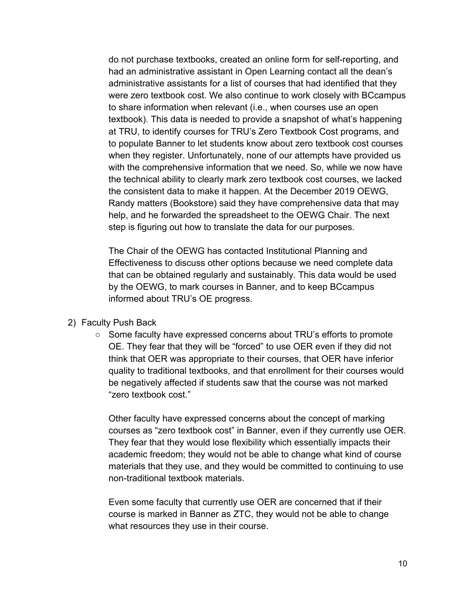do not purchase textbooks, created an online form for self-reporting, and had an administrative assistant in Open Learning contact all the dean's administrative assistants for a list of courses that had identified that they were zero textbook cost. We also continue to work closely with BCcampus to share information when relevant (i.e., when courses use an open textbook). This data is needed to provide a snapshot of what's happening at TRU, to identify courses for TRU's Zero Textbook Cost programs, and to populate Banner to let students know about zero textbook cost courses when they register. Unfortunately, none of our attempts have provided us with the comprehensive information that we need. So, while we now have the technical ability to clearly mark zero textbook cost courses, we lacked the consistent data to make it happen. At the December 2019 OEWG, Randy matters (Bookstore) said they have comprehensive data that may help, and he forwarded the spreadsheet to the OEWG Chair. The next step is figuring out how to translate the data for our purposes.

The Chair of the OEWG has contacted Institutional Planning and Effectiveness to discuss other options because we need complete data that can be obtained regularly and sustainably. This data would be used by the OEWG, to mark courses in Banner, and to keep BCcampus informed about TRU's OE progress.

- 2) Faculty Push Back
	- Some faculty have expressed concerns about TRU's efforts to promote OE. They fear that they will be "forced" to use OER even if they did not think that OER was appropriate to their courses, that OER have inferior quality to traditional textbooks, and that enrollment for their courses would be negatively affected if students saw that the course was not marked "zero textbook cost."

Other faculty have expressed concerns about the concept of marking courses as "zero textbook cost" in Banner, even if they currently use OER. They fear that they would lose flexibility which essentially impacts their academic freedom; they would not be able to change what kind of course materials that they use, and they would be committed to continuing to use non-traditional textbook materials.

Even some faculty that currently use OER are concerned that if their course is marked in Banner as ZTC, they would not be able to change what resources they use in their course.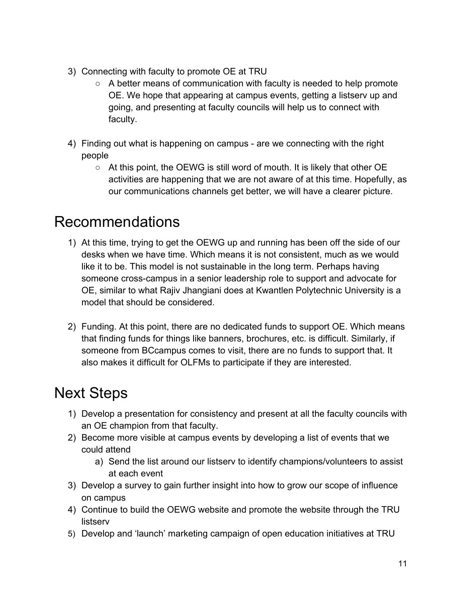- 3) Connecting with faculty to promote OE at TRU
	- A better means of communication with faculty is needed to help promote OE. We hope that appearing at campus events, getting a listserv up and going, and presenting at faculty councils will help us to connect with faculty.
- 4) Finding out what is happening on campus are we connecting with the right people
	- $\circ$  At this point, the OEWG is still word of mouth. It is likely that other OE activities are happening that we are not aware of at this time. Hopefully, as our communications channels get better, we will have a clearer picture.

## <span id="page-11-0"></span>Recommendations

- 1) At this time, trying to get the OEWG up and running has been off the side of our desks when we have time. Which means it is not consistent, much as we would like it to be. This model is not sustainable in the long term. Perhaps having someone cross-campus in a senior leadership role to support and advocate for OE, similar to what Rajiv Jhangiani does at Kwantlen Polytechnic University is a model that should be considered.
- 2) Funding. At this point, there are no dedicated funds to support OE. Which means that finding funds for things like banners, brochures, etc. is difficult. Similarly, if someone from BCcampus comes to visit, there are no funds to support that. It also makes it difficult for OLFMs to participate if they are interested.

## <span id="page-11-1"></span>Next Steps

- 1) Develop a presentation for consistency and present at all the faculty councils with an OE champion from that faculty.
- 2) Become more visible at campus events by developing a list of events that we could attend
	- a) Send the list around our listserv to identify champions/volunteers to assist at each event
- 3) Develop a survey to gain further insight into how to grow our scope of influence on campus
- 4) Continue to build the OEWG website and promote the website through the TRU listserv
- 5) Develop and 'launch' marketing campaign of open education initiatives at TRU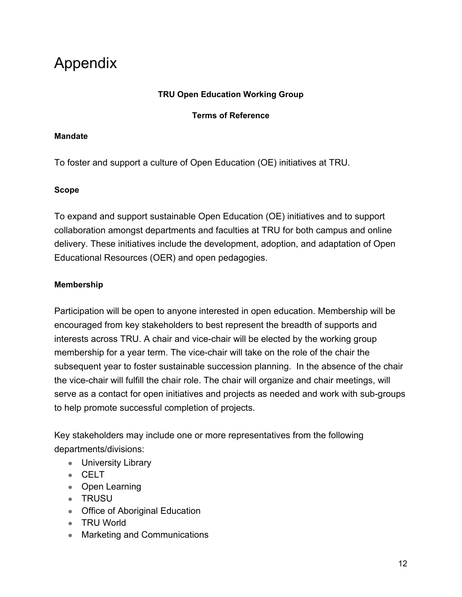## <span id="page-12-0"></span>Appendix

#### **TRU Open Education Working Group**

#### **Terms of Reference**

#### **Mandate**

To foster and support a culture of Open Education (OE) initiatives at TRU.

#### **Scope**

To expand and support sustainable Open Education (OE) initiatives and to support collaboration amongst departments and faculties at TRU for both campus and online delivery. These initiatives include the development, adoption, and adaptation of Open Educational Resources (OER) and open pedagogies.

#### **Membership**

Participation will be open to anyone interested in open education. Membership will be encouraged from key stakeholders to best represent the breadth of supports and interests across TRU. A chair and vice-chair will be elected by the working group membership for a year term. The vice-chair will take on the role of the chair the subsequent year to foster sustainable succession planning. In the absence of the chair the vice-chair will fulfill the chair role. The chair will organize and chair meetings, will serve as a contact for open initiatives and projects as needed and work with sub-groups to help promote successful completion of projects.

Key stakeholders may include one or more representatives from the following departments/divisions:

- University Library
- CELT
- Open Learning
- TRUSU
- Office of Aboriginal Education
- TRU World
- Marketing and Communications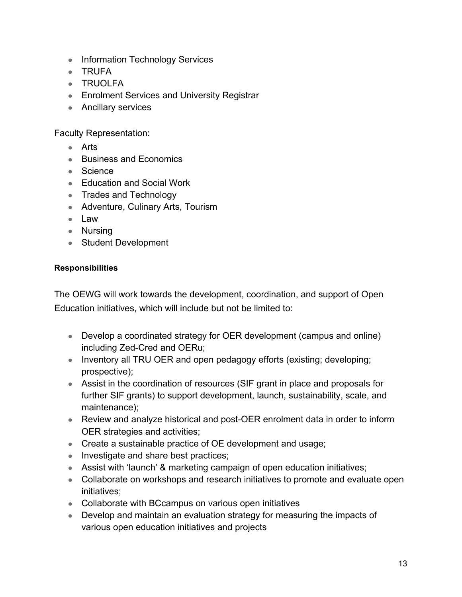- Information Technology Services
- TRUFA
- TRUOLFA
- Enrolment Services and University Registrar
- Ancillary services

Faculty Representation:

- Arts
- Business and Economics
- Science
- Education and Social Work
- Trades and Technology
- Adventure, Culinary Arts, Tourism
- Law
- Nursing
- Student Development

#### **Responsibilities**

The OEWG will work towards the development, coordination, and support of Open Education initiatives, which will include but not be limited to:

- Develop a coordinated strategy for OER development (campus and online) including Zed-Cred and OERu;
- Inventory all TRU OER and open pedagogy efforts (existing; developing; prospective);
- Assist in the coordination of resources (SIF grant in place and proposals for further SIF grants) to support development, launch, sustainability, scale, and maintenance);
- Review and analyze historical and post-OER enrolment data in order to inform OER strategies and activities;
- Create a sustainable practice of OE development and usage;
- Investigate and share best practices;
- Assist with 'launch' & marketing campaign of open education initiatives;
- Collaborate on workshops and research initiatives to promote and evaluate open initiatives;
- Collaborate with BCcampus on various open initiatives
- Develop and maintain an evaluation strategy for measuring the impacts of various open education initiatives and projects